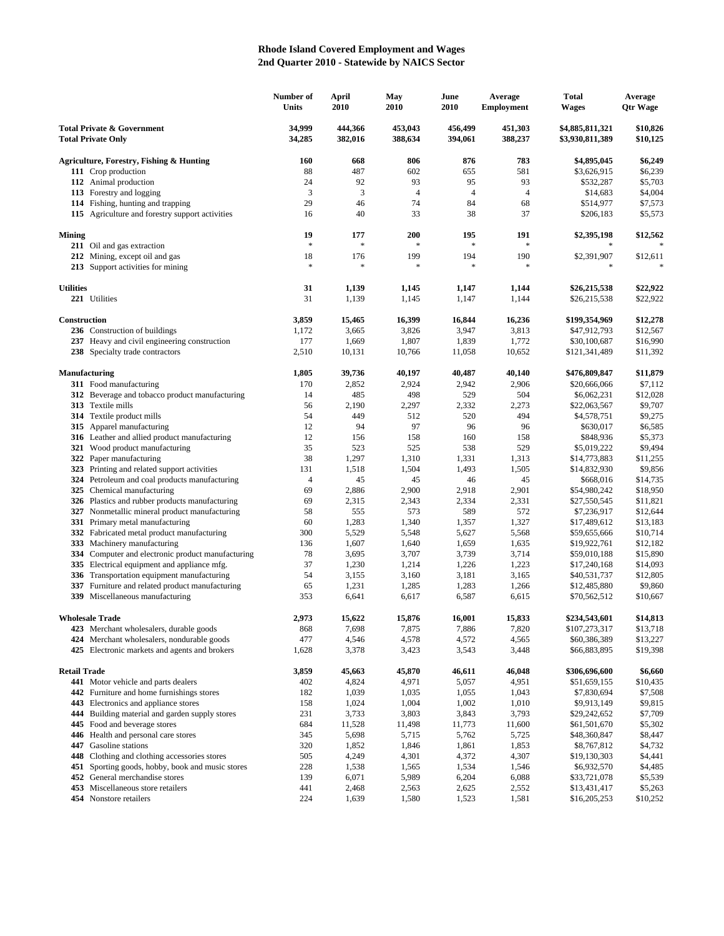## **Rhode Island Covered Employment and Wages 2nd Quarter 2010 - Statewide by NAICS Sector**

|                                                                    |                                                                                           | Number of<br>Units | April<br>2010          | May<br>2010        | June<br>2010       | Average<br><b>Employment</b> | <b>Total</b><br>Wages              | Average<br><b>Qtr Wage</b> |
|--------------------------------------------------------------------|-------------------------------------------------------------------------------------------|--------------------|------------------------|--------------------|--------------------|------------------------------|------------------------------------|----------------------------|
| <b>Total Private &amp; Government</b><br><b>Total Private Only</b> |                                                                                           | 34,999<br>34,285   | 444,366<br>382,016     | 453,043<br>388,634 | 456,499<br>394,061 | 451,303<br>388,237           | \$4,885,811,321<br>\$3,930,811,389 | \$10,826<br>\$10,125       |
|                                                                    | Agriculture, Forestry, Fishing & Hunting                                                  | 160                | 668                    | 806                | 876                | 783                          | \$4,895,045                        | \$6,249                    |
|                                                                    | 111 Crop production                                                                       | 88                 | 487                    | 602                | 655                | 581                          | \$3,626,915                        | \$6,239                    |
|                                                                    | 112 Animal production                                                                     | 24                 | 92                     | 93                 | 95                 | 93                           | \$532,287                          | \$5,703                    |
|                                                                    | 113 Forestry and logging                                                                  | 3                  | 3                      | $\overline{4}$     | $\overline{4}$     | $\overline{4}$               | \$14,683                           | \$4,004                    |
|                                                                    | 114 Fishing, hunting and trapping                                                         | 29                 | 46                     | 74                 | 84                 | 68                           | \$514,977                          | \$7,573                    |
|                                                                    | 115 Agriculture and forestry support activities                                           | 16                 | 40                     | 33                 | 38                 | 37                           | \$206,183                          | \$5,573                    |
| <b>Mining</b>                                                      |                                                                                           | 19                 | 177                    | 200                | 195                | 191                          | \$2,395,198                        | \$12,562                   |
|                                                                    | 211 Oil and gas extraction                                                                | $\ast$             | $\ast$                 | 字                  | $\frac{1}{2}$      |                              |                                    |                            |
|                                                                    | 212 Mining, except oil and gas<br>213 Support activities for mining                       | 18<br>$\ast$       | 176<br>$\frac{1}{2^k}$ | 199<br>字           | 194<br>$\ast$      | 190                          | \$2,391,907<br>$\frac{1}{2}$       | \$12,611                   |
| <b>Utilities</b>                                                   |                                                                                           | 31                 | 1,139                  | 1,145              | 1,147              | 1,144                        | \$26,215,538                       | \$22,922                   |
|                                                                    | 221 Utilities                                                                             | 31                 | 1,139                  | 1,145              | 1,147              | 1,144                        | \$26,215,538                       | \$22,922                   |
| Construction                                                       |                                                                                           | 3,859              | 15,465                 | 16,399             | 16,844             | 16,236                       | \$199,354,969                      | \$12,278                   |
|                                                                    | 236 Construction of buildings                                                             | 1,172              | 3,665                  | 3,826              | 3,947              | 3,813                        | \$47,912,793                       | \$12,567                   |
|                                                                    | 237 Heavy and civil engineering construction                                              | 177                | 1,669                  | 1,807              | 1,839              | 1,772                        | \$30,100,687                       | \$16,990                   |
|                                                                    | 238 Specialty trade contractors                                                           | 2,510              | 10,131                 | 10,766             | 11,058             | 10,652                       | \$121,341,489                      | \$11,392                   |
| <b>Manufacturing</b>                                               |                                                                                           | 1,805              | 39,736                 | 40,197             | 40,487             | 40,140                       | \$476,809,847                      | \$11,879                   |
|                                                                    | 311 Food manufacturing                                                                    | 170                | 2,852                  | 2,924              | 2,942              | 2,906                        | \$20,666,066                       | \$7,112                    |
|                                                                    | 312 Beverage and tobacco product manufacturing                                            | 14                 | 485                    | 498                | 529                | 504                          | \$6,062,231                        | \$12,028                   |
|                                                                    | 313 Textile mills                                                                         | 56                 | 2,190                  | 2,297              | 2,332              | 2,273                        | \$22,063,567                       | \$9,707                    |
|                                                                    | 314 Textile product mills                                                                 | 54<br>12           | 449<br>94              | 512<br>97          | 520<br>96          | 494<br>96                    | \$4,578,751<br>\$630,017           | \$9,275<br>\$6,585         |
|                                                                    | 315 Apparel manufacturing<br>316 Leather and allied product manufacturing                 | 12                 | 156                    | 158                | 160                | 158                          | \$848,936                          | \$5,373                    |
|                                                                    | 321 Wood product manufacturing                                                            | 35                 | 523                    | 525                | 538                | 529                          | \$5,019,222                        | \$9,494                    |
|                                                                    | 322 Paper manufacturing                                                                   | 38                 | 1,297                  | 1,310              | 1,331              | 1,313                        | \$14,773,883                       | \$11,255                   |
|                                                                    | 323 Printing and related support activities                                               | 131                | 1,518                  | 1,504              | 1,493              | 1,505                        | \$14,832,930                       | \$9,856                    |
|                                                                    | 324 Petroleum and coal products manufacturing                                             | 4                  | 45                     | 45                 | 46                 | 45                           | \$668,016                          | \$14,735                   |
|                                                                    | 325 Chemical manufacturing                                                                | 69                 | 2,886                  | 2,900              | 2,918              | 2,901                        | \$54,980,242                       | \$18,950                   |
|                                                                    | 326 Plastics and rubber products manufacturing                                            | 69                 | 2,315                  | 2,343              | 2,334              | 2,331                        | \$27,550,545                       | \$11,821                   |
|                                                                    | 327 Nonmetallic mineral product manufacturing                                             | 58                 | 555                    | 573                | 589                | 572                          | \$7,236,917                        | \$12,644                   |
|                                                                    | 331 Primary metal manufacturing                                                           | 60                 | 1,283                  | 1,340              | 1,357              | 1,327                        | \$17,489,612                       | \$13,183                   |
|                                                                    | 332 Fabricated metal product manufacturing                                                | 300                | 5,529                  | 5,548              | 5,627              | 5,568                        | \$59,655,666                       | \$10,714                   |
|                                                                    | 333 Machinery manufacturing                                                               | 136                | 1,607                  | 1,640              | 1,659              | 1,635                        | \$19,922,761                       | \$12,182                   |
|                                                                    | 334 Computer and electronic product manufacturing                                         | 78                 | 3,695                  | 3,707              | 3,739              | 3,714                        | \$59,010,188                       | \$15,890                   |
|                                                                    | 335 Electrical equipment and appliance mfg.                                               | 37<br>54           | 1,230                  | 1,214              | 1,226              | 1,223                        | \$17,240,168                       | \$14,093                   |
| 337                                                                | 336 Transportation equipment manufacturing<br>Furniture and related product manufacturing | 65                 | 3,155<br>1,231         | 3,160<br>1,285     | 3,181<br>1,283     | 3,165<br>1,266               | \$40,531,737<br>\$12,485,880       | \$12,805<br>\$9,860        |
|                                                                    | 339 Miscellaneous manufacturing                                                           | 353                | 6,641                  | 6,617              | 6,587              | 6,615                        | \$70,562,512                       | \$10,667                   |
| <b>Wholesale Trade</b>                                             |                                                                                           | 2.973              | 15,622                 | 15,876             | 16,001             | 15,833                       | \$234,543,601                      | \$14,813                   |
|                                                                    | 423 Merchant wholesalers, durable goods                                                   | 868                | 7,698                  | 7,875              | 7,886              | 7,820                        | \$107,273,317                      | \$13,718                   |
|                                                                    | 424 Merchant wholesalers, nondurable goods                                                | 477                | 4,546                  | 4,578              | 4,572              | 4,565                        | \$60,386,389                       | \$13,227                   |
|                                                                    | 425 Electronic markets and agents and brokers                                             | 1,628              | 3,378                  | 3,423              | 3,543              | 3,448                        | \$66,883,895                       | \$19,398                   |
| <b>Retail Trade</b>                                                |                                                                                           | 3,859              | 45,663                 | 45,870             | 46,611             | 46,048                       | \$306,696,600                      | \$6,660                    |
|                                                                    | 441 Motor vehicle and parts dealers                                                       | 402                | 4,824                  | 4,971              | 5,057              | 4,951                        | \$51,659,155                       | \$10,435                   |
|                                                                    | 442 Furniture and home furnishings stores                                                 | 182                | 1,039                  | 1,035              | 1,055              | 1,043                        | \$7,830,694                        | \$7,508                    |
|                                                                    | 443 Electronics and appliance stores                                                      | 158                | 1,024                  | 1,004              | 1,002              | 1,010                        | \$9,913,149                        | \$9,815                    |
|                                                                    | 444 Building material and garden supply stores                                            | 231                | 3,733                  | 3,803              | 3,843              | 3,793                        | \$29,242,652                       | \$7,709                    |
|                                                                    | 445 Food and beverage stores                                                              | 684<br>345         | 11,528                 | 11,498             | 11,773             | 11,600                       | \$61,501,670                       | \$5,302                    |
|                                                                    | 446 Health and personal care stores<br>447 Gasoline stations                              | 320                | 5,698<br>1,852         | 5,715<br>1,846     | 5,762<br>1,861     | 5,725<br>1,853               | \$48,360,847<br>\$8,767,812        | \$8,447<br>\$4,732         |
|                                                                    | 448 Clothing and clothing accessories stores                                              | 505                | 4,249                  | 4,301              | 4,372              | 4,307                        | \$19,130,303                       | \$4,441                    |
|                                                                    | 451 Sporting goods, hobby, book and music stores                                          | 228                | 1,538                  | 1,565              | 1,534              | 1,546                        | \$6,932,570                        | \$4,485                    |
|                                                                    | 452 General merchandise stores                                                            | 139                | 6,071                  | 5,989              | 6,204              | 6,088                        | \$33,721,078                       | \$5,539                    |
|                                                                    | 453 Miscellaneous store retailers                                                         | 441                | 2,468                  | 2,563              | 2,625              | 2,552                        | \$13,431,417                       | \$5,263                    |
|                                                                    | 454 Nonstore retailers                                                                    | 224                | 1,639                  | 1,580              | 1,523              | 1,581                        | \$16,205,253                       | \$10,252                   |